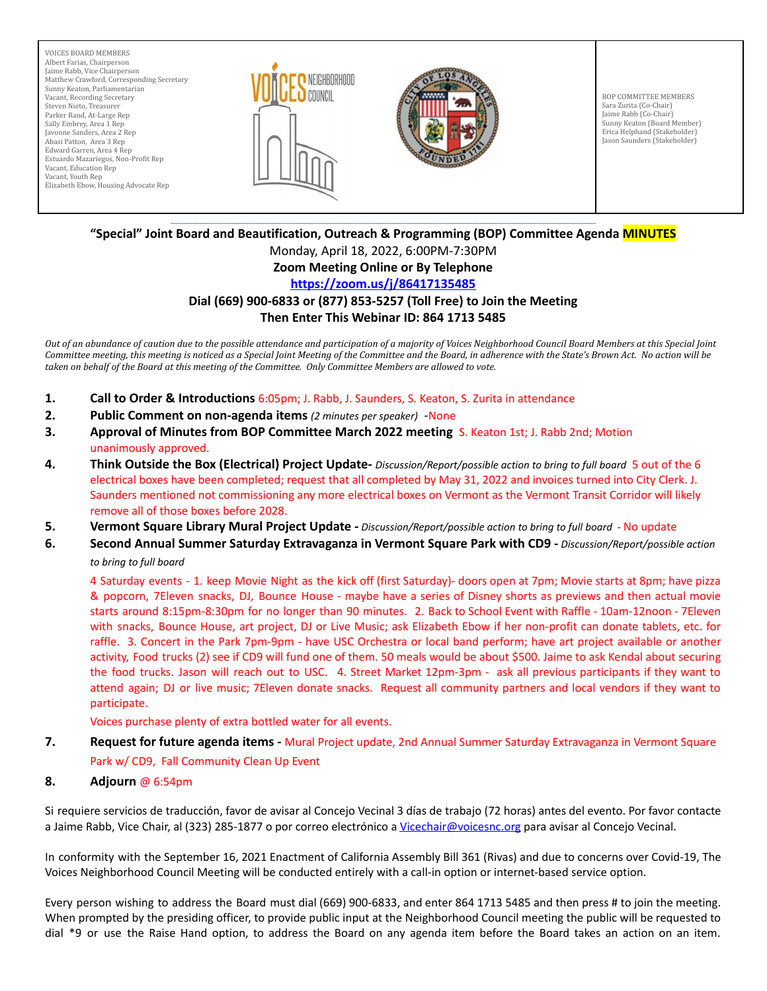VOICES BOARD MEMBERS Albert Farias, Chairperson Jaime Rabb, Vice Chairperson Matthew Crawford, Corresponding Secretary Sunny Keaton, Parliamentarian Vacant, Recording Secretary Steven Nieto, Treasurer Parker Rand, At-Large Rep Sally Embrey, Area 1 Rep Javonne Sanders, Area 2 Rep Abasi Patton, Area 3 Rep Edward Garren, Area 4 Rep Estuardo Mazariegos, Non-Profit Rep Vacant, Education Rep Vacant, Youth Rep Elizabeth Ebow, Housing Advocate Rep





BOP COMMITTEE MEMBERS Sara Zurita (Co-Chair) Jaime Rabb (Co-Chair) Sunny Keaton (Board Member) Erica Helphand (Stakeholder) Jason Saunders (Stakeholder)

#### \_\_\_\_\_\_\_\_\_\_\_\_\_\_\_\_\_\_\_\_\_\_\_\_\_\_\_\_\_\_\_\_\_\_\_\_\_\_\_\_\_\_\_\_\_\_\_\_\_\_\_\_\_\_\_\_\_\_\_\_\_\_\_\_\_\_\_\_\_\_\_\_\_\_\_\_\_\_\_\_\_\_\_\_\_\_\_\_\_\_\_\_\_\_\_\_\_\_\_\_\_\_\_\_\_\_\_\_\_\_\_\_\_\_\_\_\_\_\_\_\_\_\_\_\_\_\_\_\_\_\_ **"Special" Joint Board and Beautification, Outreach & Programming (BOP) Committee Agenda MINUTES**

Monday, April 18, 2022, 6:00PM-7:30PM

# **Zoom Meeting Online or By Telephone**

## **<https://zoom.us/j/86417135485>**

#### **Dial (669) 900-6833 or (877) 853-5257 (Toll Free) to Join the Meeting Then Enter This Webinar ID: 864 1713 5485**

Out of an abundance of caution due to the possible attendance and participation of a majority of Voices Neighborhood Council Board Members at this Special Joint Committee meeting, this meeting is noticed as a Special Joint Meeting of the Committee and the Board, in adherence with the State's Brown Act. No action will be taken on behalf of the Board at this meeting of the Committee. Only Committee Members are allowed to vote.

- **1. Call to Order & Introductions** 6:05pm; J. Rabb, J. Saunders, S. Keaton, S. Zurita in attendance
- **2. Public Comment on non-agenda items** *(2 minutes per speaker) -*None
- **3. Approval of Minutes from BOP Committee March 2022 meeting** S. Keaton 1st; J. Rabb 2nd; Motion unanimously approved.
- **4. Think Outside the Box (Electrical) Project Update-** *Discussion/Report/possible action to bring to full board* 5 out of the 6 electrical boxes have been completed; request that all completed by May 31, 2022 and invoices turned into City Clerk. J. Saunders mentioned not commissioning any more electrical boxes on Vermont as the Vermont Transit Corridor will likely remove all of those boxes before 2028.
- **5. Vermont Square Library Mural Project Update -** *Discussion/Report/possible action to bring to full board -* No update
- **6. Second Annual Summer Saturday Extravaganza in Vermont Square Park with CD9 -** *Discussion/Report/possible action to bring to full board*

4 Saturday events - 1. keep Movie Night as the kick off (first Saturday)- doors open at 7pm; Movie starts at 8pm; have pizza & popcorn, 7Eleven snacks, DJ, Bounce House - maybe have a series of Disney shorts as previews and then actual movie starts around 8:15pm-8:30pm for no longer than 90 minutes. 2. Back to School Event with Raffle - 10am-12noon - 7Eleven with snacks, Bounce House, art project, DJ or Live Music; ask Elizabeth Ebow if her non-profit can donate tablets, etc. for raffle. 3. Concert in the Park 7pm-9pm - have USC Orchestra or local band perform; have art project available or another activity, Food trucks (2) see if CD9 will fund one of them. 50 meals would be about \$500. Jaime to ask Kendal about securing the food trucks. Jason will reach out to USC. 4. Street Market 12pm-3pm - ask all previous participants if they want to attend again; DJ or live music; 7Eleven donate snacks. Request all community partners and local vendors if they want to participate.

Voices purchase plenty of extra bottled water for all events.

**7. Request for future agenda items -** Mural Project update, 2nd Annual Summer Saturday Extravaganza in Vermont Square

## Park w/ CD9, Fall Community Clean Up Event

### **8. Adjourn** @ 6:54pm

Si requiere servicios de traducción, favor de avisar al Concejo Vecinal 3 días de trabajo (72 horas) antes del evento. Por favor contacte a Jaime Rabb, Vice Chair, al (323) 285-1877 o por correo electrónico a [Vicechair@voicesnc.org](mailto:VNCCorrSec18@gmail.com) para avisar al Concejo Vecinal.

In conformity with the September 16, 2021 Enactment of California Assembly Bill 361 (Rivas) and due to concerns over Covid-19, The Voices Neighborhood Council Meeting will be conducted entirely with a call-in option or internet-based service option.

Every person wishing to address the Board must dial (669) 900-6833, and enter 864 1713 5485 and then press # to join the meeting. When prompted by the presiding officer, to provide public input at the Neighborhood Council meeting the public will be requested to dial \*9 or use the Raise Hand option, to address the Board on any agenda item before the Board takes an action on an item.